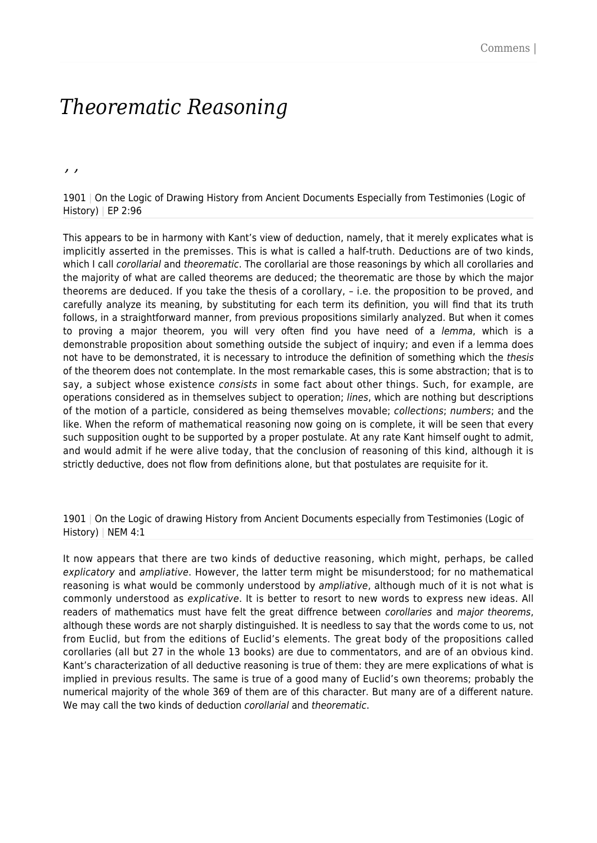# *Theorematic Reasoning*

*, ,*

1901 | On the Logic of Drawing History from Ancient Documents Especially from Testimonies (Logic of History) | EP 2:96

This appears to be in harmony with Kant's view of deduction, namely, that it merely explicates what is implicitly asserted in the premisses. This is what is called a half-truth. Deductions are of two kinds, which I call *corollarial* and theorematic. The corollarial are those reasonings by which all corollaries and the majority of what are called theorems are deduced; the theorematic are those by which the major theorems are deduced. If you take the thesis of a corollary, – i.e. the proposition to be proved, and carefully analyze its meaning, by substituting for each term its definition, you will find that its truth follows, in a straightforward manner, from previous propositions similarly analyzed. But when it comes to proving a major theorem, you will very often find you have need of a lemma, which is a demonstrable proposition about something outside the subject of inquiry; and even if a lemma does not have to be demonstrated, it is necessary to introduce the definition of something which the thesis of the theorem does not contemplate. In the most remarkable cases, this is some abstraction; that is to say, a subject whose existence *consists* in some fact about other things. Such, for example, are operations considered as in themselves subject to operation; lines, which are nothing but descriptions of the motion of a particle, considered as being themselves movable; collections; numbers; and the like. When the reform of mathematical reasoning now going on is complete, it will be seen that every such supposition ought to be supported by a proper postulate. At any rate Kant himself ought to admit, and would admit if he were alive today, that the conclusion of reasoning of this kind, although it is strictly deductive, does not flow from definitions alone, but that postulates are requisite for it.

1901 | On the Logic of drawing History from Ancient Documents especially from Testimonies (Logic of History) | NEM 4:1

It now appears that there are two kinds of deductive reasoning, which might, perhaps, be called explicatory and ampliative. However, the latter term might be misunderstood; for no mathematical reasoning is what would be commonly understood by ampliative, although much of it is not what is commonly understood as explicative. It is better to resort to new words to express new ideas. All readers of mathematics must have felt the great diffrence between *corollaries* and major theorems, although these words are not sharply distinguished. It is needless to say that the words come to us, not from Euclid, but from the editions of Euclid's elements. The great body of the propositions called corollaries (all but 27 in the whole 13 books) are due to commentators, and are of an obvious kind. Kant's characterization of all deductive reasoning is true of them: they are mere explications of what is implied in previous results. The same is true of a good many of Euclid's own theorems; probably the numerical majority of the whole 369 of them are of this character. But many are of a different nature. We may call the two kinds of deduction corollarial and theorematic.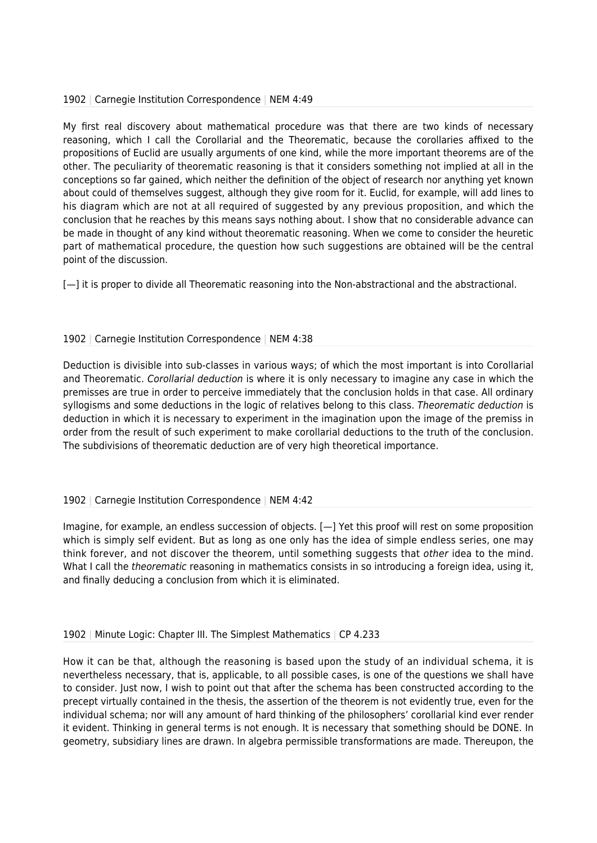### 1902 | Carnegie Institution Correspondence | NEM 4:49

My first real discovery about mathematical procedure was that there are two kinds of necessary reasoning, which I call the Corollarial and the Theorematic, because the corollaries affixed to the propositions of Euclid are usually arguments of one kind, while the more important theorems are of the other. The peculiarity of theorematic reasoning is that it considers something not implied at all in the conceptions so far gained, which neither the definition of the object of research nor anything yet known about could of themselves suggest, although they give room for it. Euclid, for example, will add lines to his diagram which are not at all required of suggested by any previous proposition, and which the conclusion that he reaches by this means says nothing about. I show that no considerable advance can be made in thought of any kind without theorematic reasoning. When we come to consider the heuretic part of mathematical procedure, the question how such suggestions are obtained will be the central point of the discussion.

[- I it is proper to divide all Theorematic reasoning into the Non-abstractional and the abstractional.

## 1902 | Carnegie Institution Correspondence | NEM 4:38

Deduction is divisible into sub-classes in various ways; of which the most important is into Corollarial and Theorematic. Corollarial deduction is where it is only necessary to imagine any case in which the premisses are true in order to perceive immediately that the conclusion holds in that case. All ordinary syllogisms and some deductions in the logic of relatives belong to this class. Theorematic deduction is deduction in which it is necessary to experiment in the imagination upon the image of the premiss in order from the result of such experiment to make corollarial deductions to the truth of the conclusion. The subdivisions of theorematic deduction are of very high theoretical importance.

### 1902 | Carnegie Institution Correspondence | NEM 4:42

Imagine, for example, an endless succession of objects. [—] Yet this proof will rest on some proposition which is simply self evident. But as long as one only has the idea of simple endless series, one may think forever, and not discover the theorem, until something suggests that *other* idea to the mind. What I call the *theorematic* reasoning in mathematics consists in so introducing a foreign idea, using it, and finally deducing a conclusion from which it is eliminated.

### 1902 | Minute Logic: Chapter III. The Simplest Mathematics | CP 4.233

How it can be that, although the reasoning is based upon the study of an individual schema, it is nevertheless necessary, that is, applicable, to all possible cases, is one of the questions we shall have to consider. Just now, I wish to point out that after the schema has been constructed according to the precept virtually contained in the thesis, the assertion of the theorem is not evidently true, even for the individual schema; nor will any amount of hard thinking of the philosophers' corollarial kind ever render it evident. Thinking in general terms is not enough. It is necessary that something should be DONE. In geometry, subsidiary lines are drawn. In algebra permissible transformations are made. Thereupon, the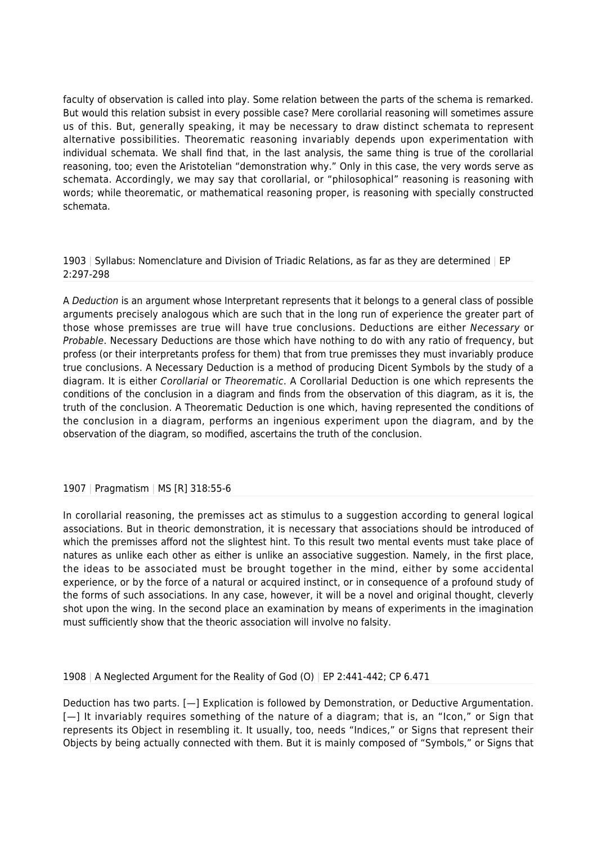faculty of observation is called into play. Some relation between the parts of the schema is remarked. But would this relation subsist in every possible case? Mere corollarial reasoning will sometimes assure us of this. But, generally speaking, it may be necessary to draw distinct schemata to represent alternative possibilities. Theorematic reasoning invariably depends upon experimentation with individual schemata. We shall find that, in the last analysis, the same thing is true of the corollarial reasoning, too; even the Aristotelian "demonstration why." Only in this case, the very words serve as schemata. Accordingly, we may say that corollarial, or "philosophical" reasoning is reasoning with words; while theorematic, or mathematical reasoning proper, is reasoning with specially constructed schemata.

1903 | Syllabus: Nomenclature and Division of Triadic Relations, as far as they are determined | EP 2:297-298

A Deduction is an argument whose Interpretant represents that it belongs to a general class of possible arguments precisely analogous which are such that in the long run of experience the greater part of those whose premisses are true will have true conclusions. Deductions are either Necessary or Probable. Necessary Deductions are those which have nothing to do with any ratio of frequency, but profess (or their interpretants profess for them) that from true premisses they must invariably produce true conclusions. A Necessary Deduction is a method of producing Dicent Symbols by the study of a diagram. It is either Corollarial or Theorematic. A Corollarial Deduction is one which represents the conditions of the conclusion in a diagram and finds from the observation of this diagram, as it is, the truth of the conclusion. A Theorematic Deduction is one which, having represented the conditions of the conclusion in a diagram, performs an ingenious experiment upon the diagram, and by the observation of the diagram, so modified, ascertains the truth of the conclusion.

### 1907 | Pragmatism | MS [R] 318:55-6

In corollarial reasoning, the premisses act as stimulus to a suggestion according to general logical associations. But in theoric demonstration, it is necessary that associations should be introduced of which the premisses afford not the slightest hint. To this result two mental events must take place of natures as unlike each other as either is unlike an associative suggestion. Namely, in the first place, the ideas to be associated must be brought together in the mind, either by some accidental experience, or by the force of a natural or acquired instinct, or in consequence of a profound study of the forms of such associations. In any case, however, it will be a novel and original thought, cleverly shot upon the wing. In the second place an examination by means of experiments in the imagination must sufficiently show that the theoric association will involve no falsity.

1908 | A Neglected Argument for the Reality of God (O) | EP 2:441-442; CP 6.471

Deduction has two parts. [—] Explication is followed by Demonstration, or Deductive Argumentation. [- ] It invariably requires something of the nature of a diagram; that is, an "Icon," or Sign that represents its Object in resembling it. It usually, too, needs "Indices," or Signs that represent their Objects by being actually connected with them. But it is mainly composed of "Symbols," or Signs that